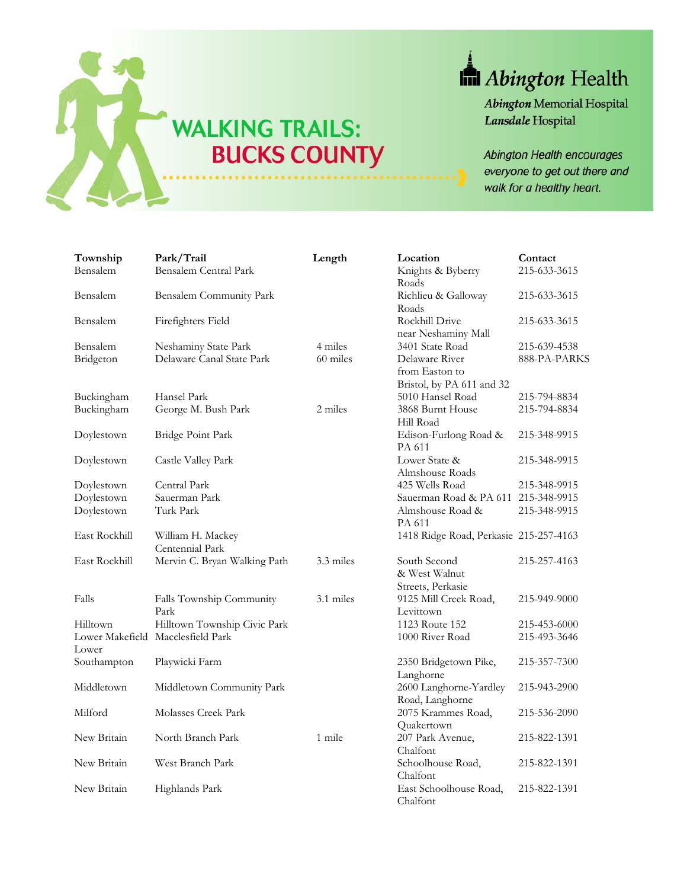

## Abington Health

**Abington Memorial Hospital** Lansdale Hospital

Abington Health encourages everyone to get out there and walk for a healthy heart.

| Township      | Park/Trail                        | Length    | Location                               | Contact      |
|---------------|-----------------------------------|-----------|----------------------------------------|--------------|
| Bensalem      | <b>Bensalem Central Park</b>      |           | Knights & Byberry                      | 215-633-3615 |
|               |                                   |           | Roads                                  |              |
| Bensalem      | Bensalem Community Park           |           | Richlieu & Galloway                    | 215-633-3615 |
|               |                                   |           | Roads                                  |              |
| Bensalem      | Firefighters Field                |           | Rockhill Drive                         | 215-633-3615 |
|               |                                   |           | near Neshaminy Mall                    |              |
| Bensalem      | Neshaminy State Park              | 4 miles   | 3401 State Road                        | 215-639-4538 |
| Bridgeton     | Delaware Canal State Park         | 60 miles  | Delaware River                         | 888-PA-PARKS |
|               |                                   |           | from Easton to                         |              |
|               |                                   |           | Bristol, by PA 611 and 32              |              |
| Buckingham    | Hansel Park                       |           | 5010 Hansel Road                       | 215-794-8834 |
| Buckingham    | George M. Bush Park               | 2 miles   | 3868 Burnt House                       | 215-794-8834 |
|               |                                   |           | Hill Road                              |              |
| Doylestown    | Bridge Point Park                 |           | Edison-Furlong Road &                  | 215-348-9915 |
|               |                                   |           | PA 611                                 |              |
| Doylestown    | Castle Valley Park                |           | Lower State &                          | 215-348-9915 |
|               |                                   |           | Almshouse Roads                        |              |
| Doylestown    | Central Park                      |           | 425 Wells Road                         | 215-348-9915 |
| Doylestown    | Sauerman Park                     |           | Sauerman Road & PA 611 215-348-9915    |              |
| Doylestown    | Turk Park                         |           | Almshouse Road &                       | 215-348-9915 |
|               |                                   |           | PA 611                                 |              |
| East Rockhill | William H. Mackey                 |           | 1418 Ridge Road, Perkasie 215-257-4163 |              |
|               | Centennial Park                   |           |                                        |              |
| East Rockhill | Mervin C. Bryan Walking Path      | 3.3 miles | South Second                           | 215-257-4163 |
|               |                                   |           | & West Walnut                          |              |
|               |                                   |           | Streets, Perkasie                      |              |
| Falls         | Falls Township Community          | 3.1 miles | 9125 Mill Creek Road,                  | 215-949-9000 |
|               | Park                              |           | Levittown                              |              |
| Hilltown      | Hilltown Township Civic Park      |           | 1123 Route 152                         | 215-453-6000 |
|               | Lower Makefield Macclesfield Park |           | 1000 River Road                        | 215-493-3646 |
| Lower         |                                   |           |                                        |              |
| Southampton   | Playwicki Farm                    |           | 2350 Bridgetown Pike,                  | 215-357-7300 |
|               |                                   |           | Langhorne                              |              |
| Middletown    | Middletown Community Park         |           | 2600 Langhorne-Yardley                 | 215-943-2900 |
|               |                                   |           | Road, Langhorne                        |              |
| Milford       | Molasses Creek Park               |           | 2075 Krammes Road,                     | 215-536-2090 |
|               |                                   |           | Quakertown                             |              |
| New Britain   | North Branch Park                 | 1 mile    | 207 Park Avenue,                       | 215-822-1391 |
|               |                                   |           | Chalfont                               |              |
| New Britain   | West Branch Park                  |           | Schoolhouse Road,                      | 215-822-1391 |
|               |                                   |           | Chalfont                               |              |
| New Britain   | Highlands Park                    |           | East Schoolhouse Road,                 | 215-822-1391 |
|               |                                   |           | Chalfont                               |              |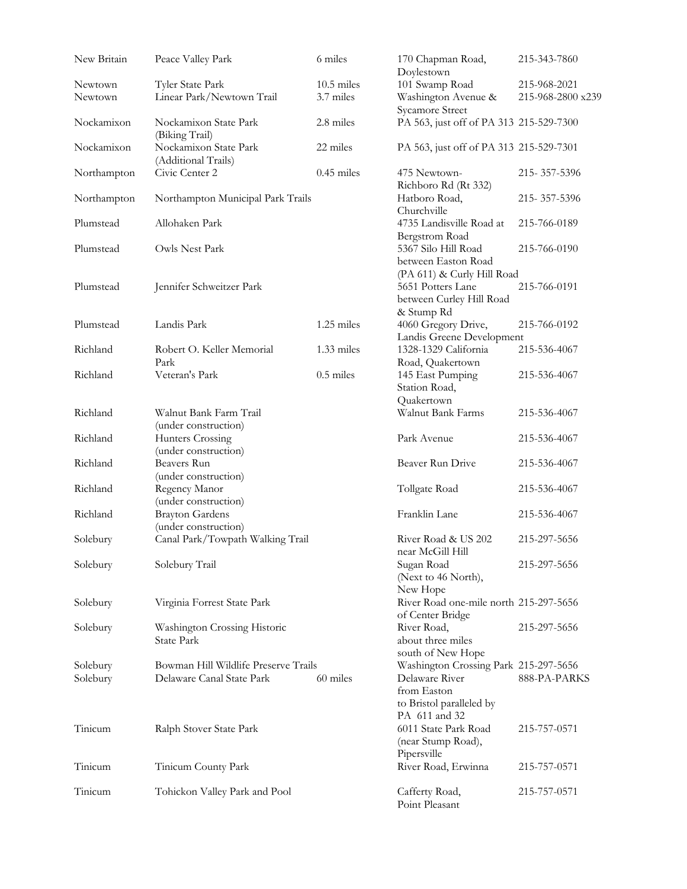| New Britain | Peace Valley Park                              | 6 miles      | 170 Chapman Road,<br>Doylestown                            | 215-343-7860      |
|-------------|------------------------------------------------|--------------|------------------------------------------------------------|-------------------|
| Newtown     | Tyler State Park                               | $10.5$ miles | 101 Swamp Road                                             | 215-968-2021      |
| Newtown     | Linear Park/Newtown Trail                      | 3.7 miles    | Washington Avenue &                                        | 215-968-2800 x239 |
|             |                                                |              | Sycamore Street                                            |                   |
| Nockamixon  | Nockamixon State Park<br>(Biking Trail)        | 2.8 miles    | PA 563, just off of PA 313 215-529-7300                    |                   |
| Nockamixon  | Nockamixon State Park                          | 22 miles     | PA 563, just off of PA 313 215-529-7301                    |                   |
| Northampton | (Additional Trails)<br>Civic Center 2          | $0.45$ miles | 475 Newtown-                                               | 215-357-5396      |
| Northampton | Northampton Municipal Park Trails              |              | Richboro Rd (Rt 332)<br>Hatboro Road,                      | 215-357-5396      |
| Plumstead   | Allohaken Park                                 |              | Churchville<br>4735 Landisville Road at                    | 215-766-0189      |
| Plumstead   | Owls Nest Park                                 |              | Bergstrom Road<br>5367 Silo Hill Road                      | 215-766-0190      |
|             |                                                |              | between Easton Road                                        |                   |
|             |                                                |              | (PA 611) & Curly Hill Road                                 |                   |
| Plumstead   | Jennifer Schweitzer Park                       |              | 5651 Potters Lane                                          | 215-766-0191      |
|             |                                                |              | between Curley Hill Road                                   |                   |
|             |                                                |              | & Stump Rd                                                 |                   |
| Plumstead   | Landis Park                                    | 1.25 miles   | 4060 Gregory Drive,                                        | 215-766-0192      |
|             |                                                |              | Landis Greene Development                                  |                   |
| Richland    | Robert O. Keller Memorial                      | 1.33 miles   | 1328-1329 California                                       | 215-536-4067      |
|             | Park                                           |              | Road, Quakertown                                           |                   |
| Richland    | Veteran's Park                                 | $0.5$ miles  | 145 East Pumping                                           | 215-536-4067      |
|             |                                                |              | Station Road,                                              |                   |
|             |                                                |              | Quakertown                                                 |                   |
| Richland    | Walnut Bank Farm Trail<br>(under construction) |              | Walnut Bank Farms                                          | 215-536-4067      |
| Richland    | Hunters Crossing                               |              | Park Avenue                                                | 215-536-4067      |
|             | (under construction)                           |              |                                                            |                   |
| Richland    | Beavers Run                                    |              | Beaver Run Drive                                           | 215-536-4067      |
|             | (under construction)                           |              |                                                            |                   |
| Richland    | Regency Manor                                  |              | Tollgate Road                                              | 215-536-4067      |
| Richland    | (under construction)                           |              | Franklin Lane                                              |                   |
|             | <b>Brayton Gardens</b><br>(under construction) |              |                                                            | 215-536-4067      |
| Solebury    | Canal Park/Towpath Walking Trail               |              | River Road & US 202                                        | 215-297-5656      |
|             |                                                |              | near McGill Hill                                           |                   |
| Solebury    | Solebury Trail                                 |              | Sugan Road                                                 | 215-297-5656      |
|             |                                                |              | (Next to 46 North),                                        |                   |
|             |                                                |              | New Hope                                                   |                   |
| Solebury    | Virginia Forrest State Park                    |              | River Road one-mile north 215-297-5656<br>of Center Bridge |                   |
| Solebury    | Washington Crossing Historic                   |              | River Road,                                                | 215-297-5656      |
|             | State Park                                     |              | about three miles                                          |                   |
|             |                                                |              | south of New Hope                                          |                   |
| Solebury    | Bowman Hill Wildlife Preserve Trails           |              | Washington Crossing Park 215-297-5656                      |                   |
| Solebury    | Delaware Canal State Park                      | 60 miles     | Delaware River                                             | 888-PA-PARKS      |
|             |                                                |              | from Easton                                                |                   |
|             |                                                |              | to Bristol paralleled by                                   |                   |
|             |                                                |              | PA 611 and 32                                              |                   |
| Tinicum     | Ralph Stover State Park                        |              | 6011 State Park Road                                       | 215-757-0571      |
|             |                                                |              | (near Stump Road),                                         |                   |
| Tinicum     |                                                |              | Pipersville                                                |                   |
|             | Tinicum County Park                            |              | River Road, Erwinna                                        | 215-757-0571      |
| Tinicum     | Tohickon Valley Park and Pool                  |              | Cafferty Road,<br>Point Pleasant                           | 215-757-0571      |